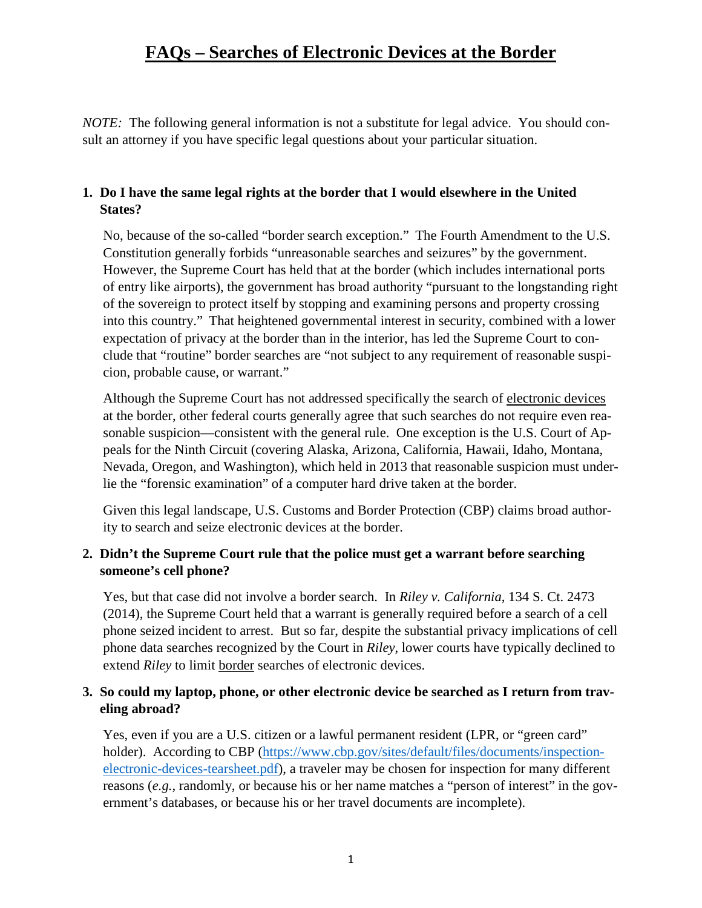## **FAQs – Searches of Electronic Devices at the Border**

*NOTE:* The following general information is not a substitute for legal advice. You should consult an attorney if you have specific legal questions about your particular situation.

### **1. Do I have the same legal rights at the border that I would elsewhere in the United States?**

No, because of the so-called "border search exception." The Fourth Amendment to the U.S. Constitution generally forbids "unreasonable searches and seizures" by the government. However, the Supreme Court has held that at the border (which includes international ports of entry like airports), the government has broad authority "pursuant to the longstanding right of the sovereign to protect itself by stopping and examining persons and property crossing into this country." That heightened governmental interest in security, combined with a lower expectation of privacy at the border than in the interior, has led the Supreme Court to conclude that "routine" border searches are "not subject to any requirement of reasonable suspicion, probable cause, or warrant."

Although the Supreme Court has not addressed specifically the search of electronic devices at the border, other federal courts generally agree that such searches do not require even reasonable suspicion—consistent with the general rule. One exception is the U.S. Court of Appeals for the Ninth Circuit (covering Alaska, Arizona, California, Hawaii, Idaho, Montana, Nevada, Oregon, and Washington), which held in 2013 that reasonable suspicion must underlie the "forensic examination" of a computer hard drive taken at the border.

Given this legal landscape, U.S. Customs and Border Protection (CBP) claims broad authority to search and seize electronic devices at the border.

#### **2. Didn't the Supreme Court rule that the police must get a warrant before searching someone's cell phone?**

Yes, but that case did not involve a border search. In *Riley v. California*, 134 S. Ct. 2473 (2014), the Supreme Court held that a warrant is generally required before a search of a cell phone seized incident to arrest. But so far, despite the substantial privacy implications of cell phone data searches recognized by the Court in *Riley*, lower courts have typically declined to extend *Riley* to limit border searches of electronic devices.

#### **3. So could my laptop, phone, or other electronic device be searched as I return from traveling abroad?**

Yes, even if you are a U.S. citizen or a lawful permanent resident (LPR, or "green card" holder). According to CBP [\(https://www.cbp.gov/sites/default/files/documents/inspection](https://www.cbp.gov/sites/default/files/documents/inspection-electronic-devices-tearsheet.pdf)[electronic-devices-tearsheet.pdf\)](https://www.cbp.gov/sites/default/files/documents/inspection-electronic-devices-tearsheet.pdf), a traveler may be chosen for inspection for many different reasons (*e.g.*, randomly, or because his or her name matches a "person of interest" in the government's databases, or because his or her travel documents are incomplete).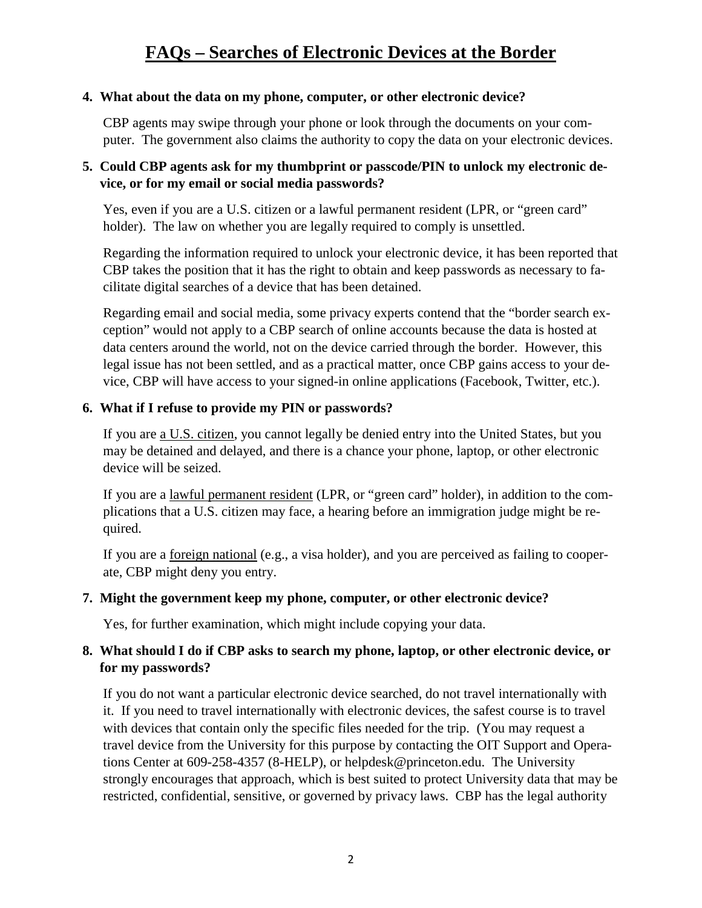### **4. What about the data on my phone, computer, or other electronic device?**

CBP agents may swipe through your phone or look through the documents on your computer. The government also claims the authority to copy the data on your electronic devices.

## **5. Could CBP agents ask for my thumbprint or passcode/PIN to unlock my electronic device, or for my email or social media passwords?**

Yes, even if you are a U.S. citizen or a lawful permanent resident (LPR, or "green card" holder). The law on whether you are legally required to comply is unsettled.

Regarding the information required to unlock your electronic device, it has been reported that CBP takes the position that it has the right to obtain and keep passwords as necessary to facilitate digital searches of a device that has been detained.

Regarding email and social media, some privacy experts contend that the "border search exception" would not apply to a CBP search of online accounts because the data is hosted at data centers around the world, not on the device carried through the border. However, this legal issue has not been settled, and as a practical matter, once CBP gains access to your device, CBP will have access to your signed-in online applications (Facebook, Twitter, etc.).

## **6. What if I refuse to provide my PIN or passwords?**

If you are <u>a U.S. citizen</u>, you cannot legally be denied entry into the United States, but you may be detained and delayed, and there is a chance your phone, laptop, or other electronic device will be seized.

If you are a lawful permanent resident (LPR, or "green card" holder), in addition to the complications that a U.S. citizen may face, a hearing before an immigration judge might be required.

If you are a foreign national (e.g., a visa holder), and you are perceived as failing to cooperate, CBP might deny you entry.

#### **7. Might the government keep my phone, computer, or other electronic device?**

Yes, for further examination, which might include copying your data.

## **8. What should I do if CBP asks to search my phone, laptop, or other electronic device, or for my passwords?**

If you do not want a particular electronic device searched, do not travel internationally with it. If you need to travel internationally with electronic devices, the safest course is to travel with devices that contain only the specific files needed for the trip. (You may request a travel device from the University for this purpose by contacting the OIT Support and Operations Center at 609-258-4357 (8-HELP), or helpdesk@princeton.edu. The University strongly encourages that approach, which is best suited to protect University data that may be restricted, confidential, sensitive, or governed by privacy laws. CBP has the legal authority